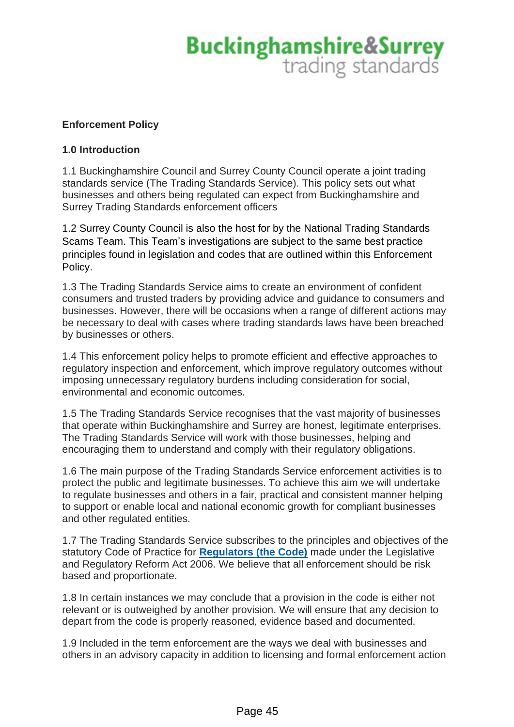### **Enforcement Policy**

### **1.0 Introduction**

1.1 Buckinghamshire Council and Surrey County Council operate a joint trading standards service (The Trading Standards Service). This policy sets out what businesses and others being regulated can expect from Buckinghamshire and Surrey Trading Standards enforcement officers

1.2 Surrey County Council is also the host for by the National Trading Standards Scams Team. This Team's investigations are subject to the same best practice principles found in legislation and codes that are outlined within this Enforcement Policy.

1.3 The Trading Standards Service aims to create an environment of confident consumers and trusted traders by providing advice and guidance to consumers and businesses. However, there will be occasions when a range of different actions may be necessary to deal with cases where trading standards laws have been breached by businesses or others.

1.4 This enforcement policy helps to promote efficient and effective approaches to regulatory inspection and enforcement, which improve regulatory outcomes without imposing unnecessary regulatory burdens including consideration for social, environmental and economic outcomes.

1.5 The Trading Standards Service recognises that the vast majority of businesses that operate within Buckinghamshire and Surrey are honest, legitimate enterprises. The Trading Standards Service will work with those businesses, helping and encouraging them to understand and comply with their regulatory obligations.

1.6 The main purpose of the Trading Standards Service enforcement activities is to protect the public and legitimate businesses. To achieve this aim we will undertake to regulate businesses and others in a fair, practical and consistent manner helping to support or enable local and national economic growth for compliant businesses and other regulated entities.

1.7 The Trading Standards Service subscribes to the principles and objectives of the statutory Code of Practice for **[Regulators \(the Code\)](https://www.gov.uk/government/publications/regulators-code)** made under the Legislative and Regulatory Reform Act 2006. We believe that all enforcement should be risk based and proportionate.

1.8 In certain instances we may conclude that a provision in the code is either not relevant or is outweighed by another provision. We will ensure that any decision to depart from the code is properly reasoned, evidence based and documented.

1.9 Included in the term enforcement are the ways we deal with businesses and others in an advisory capacity in addition to licensing and formal enforcement action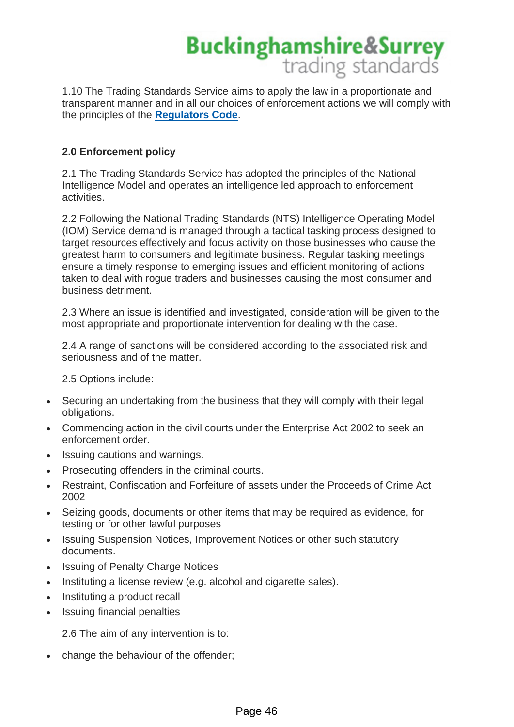1.10 The Trading Standards Service aims to apply the law in a proportionate and transparent manner and in all our choices of enforcement actions we will comply with the principles of the **[Regulators Code](https://www.gov.uk/government/publications/regulators-code)**.

## **2.0 Enforcement policy**

2.1 The Trading Standards Service has adopted the principles of the National Intelligence Model and operates an intelligence led approach to enforcement activities.

2.2 Following the National Trading Standards (NTS) Intelligence Operating Model (IOM) Service demand is managed through a tactical tasking process designed to target resources effectively and focus activity on those businesses who cause the greatest harm to consumers and legitimate business. Regular tasking meetings ensure a timely response to emerging issues and efficient monitoring of actions taken to deal with rogue traders and businesses causing the most consumer and business detriment.

2.3 Where an issue is identified and investigated, consideration will be given to the most appropriate and proportionate intervention for dealing with the case.

2.4 A range of sanctions will be considered according to the associated risk and seriousness and of the matter.

2.5 Options include:

- Securing an undertaking from the business that they will comply with their legal obligations.
- Commencing action in the civil courts under the Enterprise Act 2002 to seek an enforcement order.
- Issuing cautions and warnings.
- Prosecuting offenders in the criminal courts.
- Restraint, Confiscation and Forfeiture of assets under the Proceeds of Crime Act 2002
- Seizing goods, documents or other items that may be required as evidence, for testing or for other lawful purposes
- Issuing Suspension Notices, Improvement Notices or other such statutory documents.
- **Issuing of Penalty Charge Notices**
- Instituting a license review (e.g. alcohol and cigarette sales).
- Instituting a product recall
- Issuing financial penalties

2.6 The aim of any intervention is to:

• change the behaviour of the offender;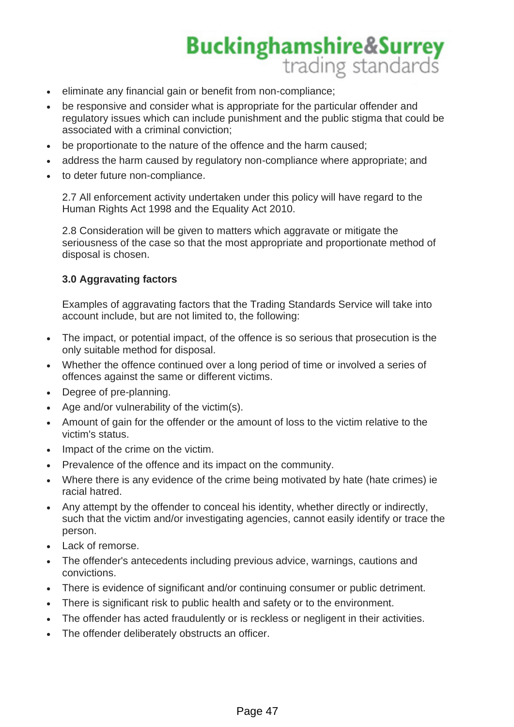- eliminate any financial gain or benefit from non-compliance;
- be responsive and consider what is appropriate for the particular offender and regulatory issues which can include punishment and the public stigma that could be associated with a criminal conviction;
- be proportionate to the nature of the offence and the harm caused;
- address the harm caused by regulatory non-compliance where appropriate; and
- to deter future non-compliance.

2.7 All enforcement activity undertaken under this policy will have regard to the Human Rights Act 1998 and the Equality Act 2010.

2.8 Consideration will be given to matters which aggravate or mitigate the seriousness of the case so that the most appropriate and proportionate method of disposal is chosen.

## **3.0 Aggravating factors**

Examples of aggravating factors that the Trading Standards Service will take into account include, but are not limited to, the following:

- The impact, or potential impact, of the offence is so serious that prosecution is the only suitable method for disposal.
- Whether the offence continued over a long period of time or involved a series of offences against the same or different victims.
- Degree of pre-planning.
- Age and/or vulnerability of the victim(s).
- Amount of gain for the offender or the amount of loss to the victim relative to the victim's status.
- Impact of the crime on the victim.
- Prevalence of the offence and its impact on the community.
- Where there is any evidence of the crime being motivated by hate (hate crimes) ie racial hatred.
- Any attempt by the offender to conceal his identity, whether directly or indirectly, such that the victim and/or investigating agencies, cannot easily identify or trace the person.
- Lack of remorse.
- The offender's antecedents including previous advice, warnings, cautions and convictions.
- There is evidence of significant and/or continuing consumer or public detriment.
- There is significant risk to public health and safety or to the environment.
- The offender has acted fraudulently or is reckless or negligent in their activities.
- The offender deliberately obstructs an officer.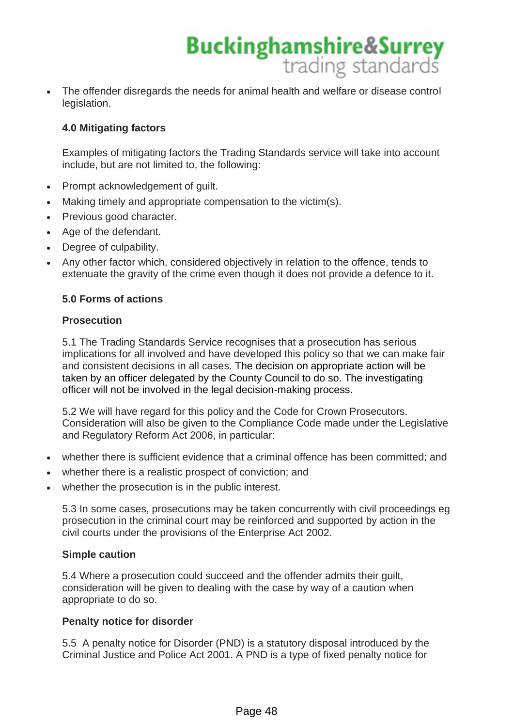

### **4.0 Mitigating factors**

Examples of mitigating factors the Trading Standards service will take into account include, but are not limited to, the following:

- Prompt acknowledgement of quilt.
- Making timely and appropriate compensation to the victim(s).
- Previous good character.
- Age of the defendant.
- Degree of culpability.
- Any other factor which, considered objectively in relation to the offence, tends to extenuate the gravity of the crime even though it does not provide a defence to it.

### **5.0 Forms of actions**

### **Prosecution**

5.1 The Trading Standards Service recognises that a prosecution has serious implications for all involved and have developed this policy so that we can make fair and consistent decisions in all cases. The decision on appropriate action will be taken by an officer delegated by the County Council to do so. The investigating officer will not be involved in the legal decision-making process.

5.2 We will have regard for this policy and the Code for Crown Prosecutors. Consideration will also be given to the Compliance Code made under the Legislative and Regulatory Reform Act 2006, in particular:

- whether there is sufficient evidence that a criminal offence has been committed; and
- whether there is a realistic prospect of conviction; and
- whether the prosecution is in the public interest.

5.3 In some cases, prosecutions may be taken concurrently with civil proceedings eg prosecution in the criminal court may be reinforced and supported by action in the civil courts under the provisions of the Enterprise Act 2002.

#### **Simple caution**

5.4 Where a prosecution could succeed and the offender admits their guilt, consideration will be given to dealing with the case by way of a caution when appropriate to do so.

### **Penalty notice for disorder**

5.5 A penalty notice for Disorder (PND) is a statutory disposal introduced by the Criminal Justice and Police Act 2001. A PND is a type of fixed penalty notice for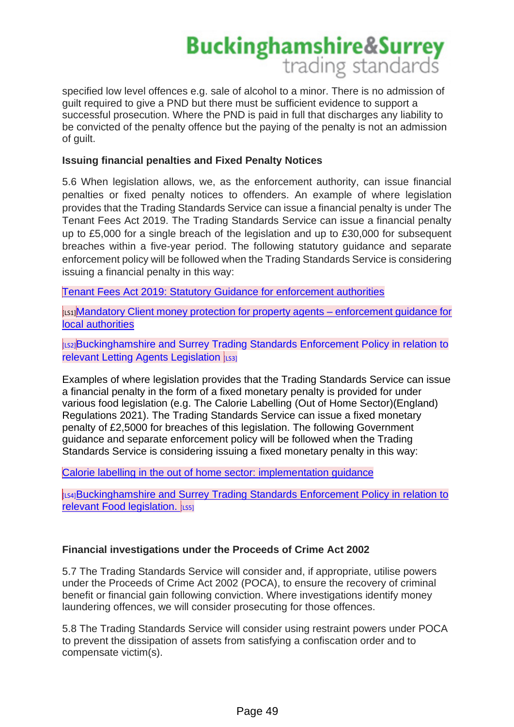specified low level offences e.g. sale of alcohol to a minor. There is no admission of guilt required to give a PND but there must be sufficient evidence to support a successful prosecution. Where the PND is paid in full that discharges any liability to be convicted of the penalty offence but the paying of the penalty is not an admission of guilt.

### **Issuing financial penalties and Fixed Penalty Notices**

5.6 When legislation allows, we, as the enforcement authority, can issue financial penalties or fixed penalty notices to offenders. An example of where legislation provides that the Trading Standards Service can issue a financial penalty is under The Tenant Fees Act 2019. The Trading Standards Service can issue a financial penalty up to £5,000 for a single breach of the legislation and up to £30,000 for subsequent breaches within a five-year period. The following statutory guidance and separate enforcement policy will be followed when the Trading Standards Service is considering issuing a financial penalty in this way:

[Tenant Fees Act 2019: Statutory Guidance for enforcement authorities](https://assets.publishing.service.gov.uk/government/uploads/system/uploads/attachment_data/file/922896/Tenancy_Fees_Act_-_Statutory_guidance_for_enforcement_authorities.pdf)

[LS1][Mandatory Client money protection for property agents –](https://assets.publishing.service.gov.uk/government/uploads/system/uploads/attachment_data/file/1030313/CMP_enforcement_guidance.pdf) enforcement guidance for [local authorities](https://assets.publishing.service.gov.uk/government/uploads/system/uploads/attachment_data/file/1030313/CMP_enforcement_guidance.pdf)

[LS2]Buckinghamshire and Surrey Trading Standards Enforcement Policy in relation to relevant Letting Agents Legislation [LS3]

Examples of where legislation provides that the Trading Standards Service can issue a financial penalty in the form of a fixed monetary penalty is provided for under various food legislation (e.g. The Calorie Labelling (Out of Home Sector)(England) Regulations 2021). The Trading Standards Service can issue a fixed monetary penalty of £2,5000 for breaches of this legislation. The following Government guidance and separate enforcement policy will be followed when the Trading Standards Service is considering issuing a fixed monetary penalty in this way:

[Calorie labelling in the out of home sector: implementation guidance](https://www.gov.uk/government/publications/calorie-labelling-in-the-out-of-home-sector/calorie-labelling-in-the-out-of-home-sector-implementation-guidance)

[LS4]Buckinghamshire and Surrey Trading Standards Enforcement Policy in relation to relevant Food legislation.  $\left| \right|$ <sub>LS51</sub>

### **Financial investigations under the Proceeds of Crime Act 2002**

5.7 The Trading Standards Service will consider and, if appropriate, utilise powers under the Proceeds of Crime Act 2002 (POCA), to ensure the recovery of criminal benefit or financial gain following conviction. Where investigations identify money laundering offences, we will consider prosecuting for those offences.

5.8 The Trading Standards Service will consider using restraint powers under POCA to prevent the dissipation of assets from satisfying a confiscation order and to compensate victim(s).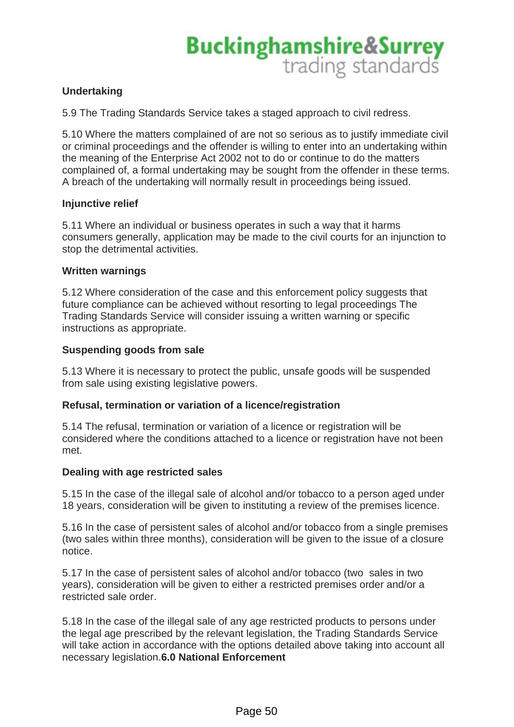## **Undertaking**

5.9 The Trading Standards Service takes a staged approach to civil redress.

5.10 Where the matters complained of are not so serious as to justify immediate civil or criminal proceedings and the offender is willing to enter into an undertaking within the meaning of the Enterprise Act 2002 not to do or continue to do the matters complained of, a formal undertaking may be sought from the offender in these terms. A breach of the undertaking will normally result in proceedings being issued.

### **Injunctive relief**

5.11 Where an individual or business operates in such a way that it harms consumers generally, application may be made to the civil courts for an injunction to stop the detrimental activities.

### **Written warnings**

5.12 Where consideration of the case and this enforcement policy suggests that future compliance can be achieved without resorting to legal proceedings The Trading Standards Service will consider issuing a written warning or specific instructions as appropriate.

### **Suspending goods from sale**

5.13 Where it is necessary to protect the public, unsafe goods will be suspended from sale using existing legislative powers.

### **Refusal, termination or variation of a licence/registration**

5.14 The refusal, termination or variation of a licence or registration will be considered where the conditions attached to a licence or registration have not been met.

### **Dealing with age restricted sales**

5.15 In the case of the illegal sale of alcohol and/or tobacco to a person aged under 18 years, consideration will be given to instituting a review of the premises licence.

5.16 In the case of persistent sales of alcohol and/or tobacco from a single premises (two sales within three months), consideration will be given to the issue of a closure notice.

5.17 In the case of persistent sales of alcohol and/or tobacco (two sales in two years), consideration will be given to either a restricted premises order and/or a restricted sale order.

5.18 In the case of the illegal sale of any age restricted products to persons under the legal age prescribed by the relevant legislation, the Trading Standards Service will take action in accordance with the options detailed above taking into account all necessary legislation.**6.0 National Enforcement**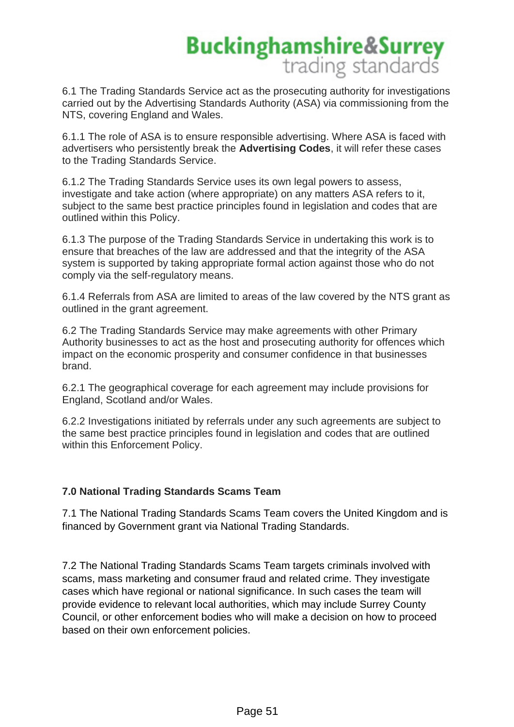6.1 The Trading Standards Service act as the prosecuting authority for investigations carried out by the Advertising Standards Authority (ASA) via commissioning from the NTS, covering England and Wales.

6.1.1 The role of ASA is to ensure responsible advertising. Where ASA is faced with advertisers who persistently break the **Advertising Codes**, it will refer these cases to the Trading Standards Service.

6.1.2 The Trading Standards Service uses its own legal powers to assess, investigate and take action (where appropriate) on any matters ASA refers to it, subject to the same best practice principles found in legislation and codes that are outlined within this Policy.

6.1.3 The purpose of the Trading Standards Service in undertaking this work is to ensure that breaches of the law are addressed and that the integrity of the ASA system is supported by taking appropriate formal action against those who do not comply via the self-regulatory means.

6.1.4 Referrals from ASA are limited to areas of the law covered by the NTS grant as outlined in the grant agreement.

6.2 The Trading Standards Service may make agreements with other Primary Authority businesses to act as the host and prosecuting authority for offences which impact on the economic prosperity and consumer confidence in that businesses brand.

6.2.1 The geographical coverage for each agreement may include provisions for England, Scotland and/or Wales.

6.2.2 Investigations initiated by referrals under any such agreements are subject to the same best practice principles found in legislation and codes that are outlined within this Enforcement Policy.

## **7.0 National Trading Standards Scams Team**

7.1 The National Trading Standards Scams Team covers the United Kingdom and is financed by Government grant via National Trading Standards.

7.2 The National Trading Standards Scams Team targets criminals involved with scams, mass marketing and consumer fraud and related crime. They investigate cases which have regional or national significance. In such cases the team will provide evidence to relevant local authorities, which may include Surrey County Council, or other enforcement bodies who will make a decision on how to proceed based on their own enforcement policies.